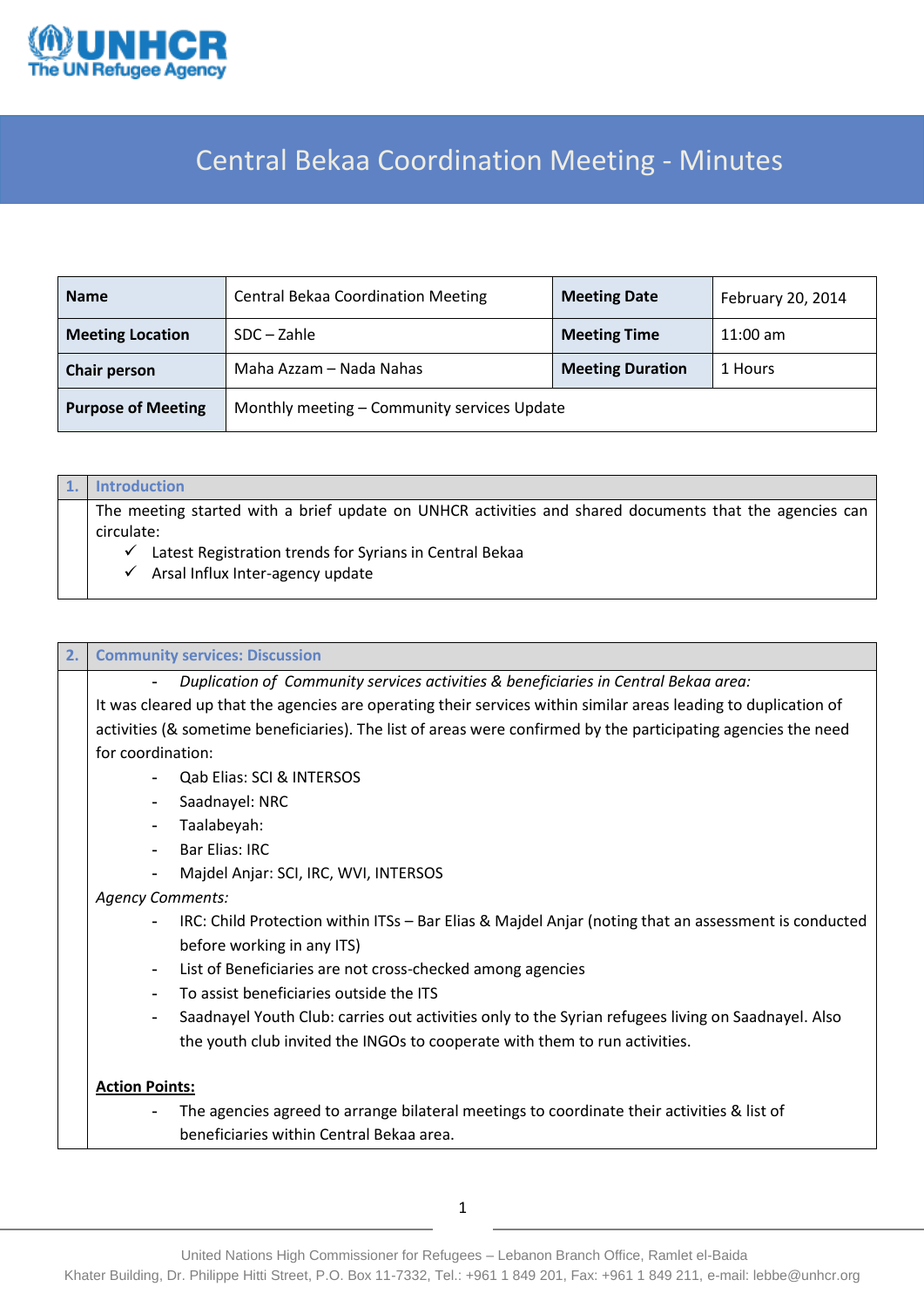

# Central Bekaa Coordination Meeting - Minutes

| <b>Name</b>               | <b>Central Bekaa Coordination Meeting</b><br><b>Meeting Date</b> |                         | February 20, 2014 |  |  |
|---------------------------|------------------------------------------------------------------|-------------------------|-------------------|--|--|
| <b>Meeting Location</b>   | SDC – Zahle                                                      | <b>Meeting Time</b>     | $11:00$ am        |  |  |
| <b>Chair person</b>       | Maha Azzam – Nada Nahas                                          | <b>Meeting Duration</b> | 1 Hours           |  |  |
| <b>Purpose of Meeting</b> | Monthly meeting - Community services Update                      |                         |                   |  |  |

## **1. Introduction**

The meeting started with a brief update on UNHCR activities and shared documents that the agencies can circulate:

- $\checkmark$  Latest Registration trends for Syrians in Central Bekaa
- $\checkmark$  Arsal Influx Inter-agency update

#### **2. Community services: Discussion**

**-** *Duplication of Community services activities & beneficiaries in Central Bekaa area:*

It was cleared up that the agencies are operating their services within similar areas leading to duplication of activities (& sometime beneficiaries). The list of areas were confirmed by the participating agencies the need for coordination:

- **-** Qab Elias: SCI & INTERSOS
- **-** Saadnayel: NRC
- **-** Taalabeyah:
- **-** Bar Elias: IRC
- **-** Majdel Anjar: SCI, IRC, WVI, INTERSOS

#### *Agency Comments:*

- **-** IRC: Child Protection within ITSs Bar Elias & Majdel Anjar (noting that an assessment is conducted before working in any ITS)
- **-** List of Beneficiaries are not cross-checked among agencies
- **-** To assist beneficiaries outside the ITS
- **-** Saadnayel Youth Club: carries out activities only to the Syrian refugees living on Saadnayel. Also the youth club invited the INGOs to cooperate with them to run activities.

### **Action Points:**

**-** The agencies agreed to arrange bilateral meetings to coordinate their activities & list of beneficiaries within Central Bekaa area.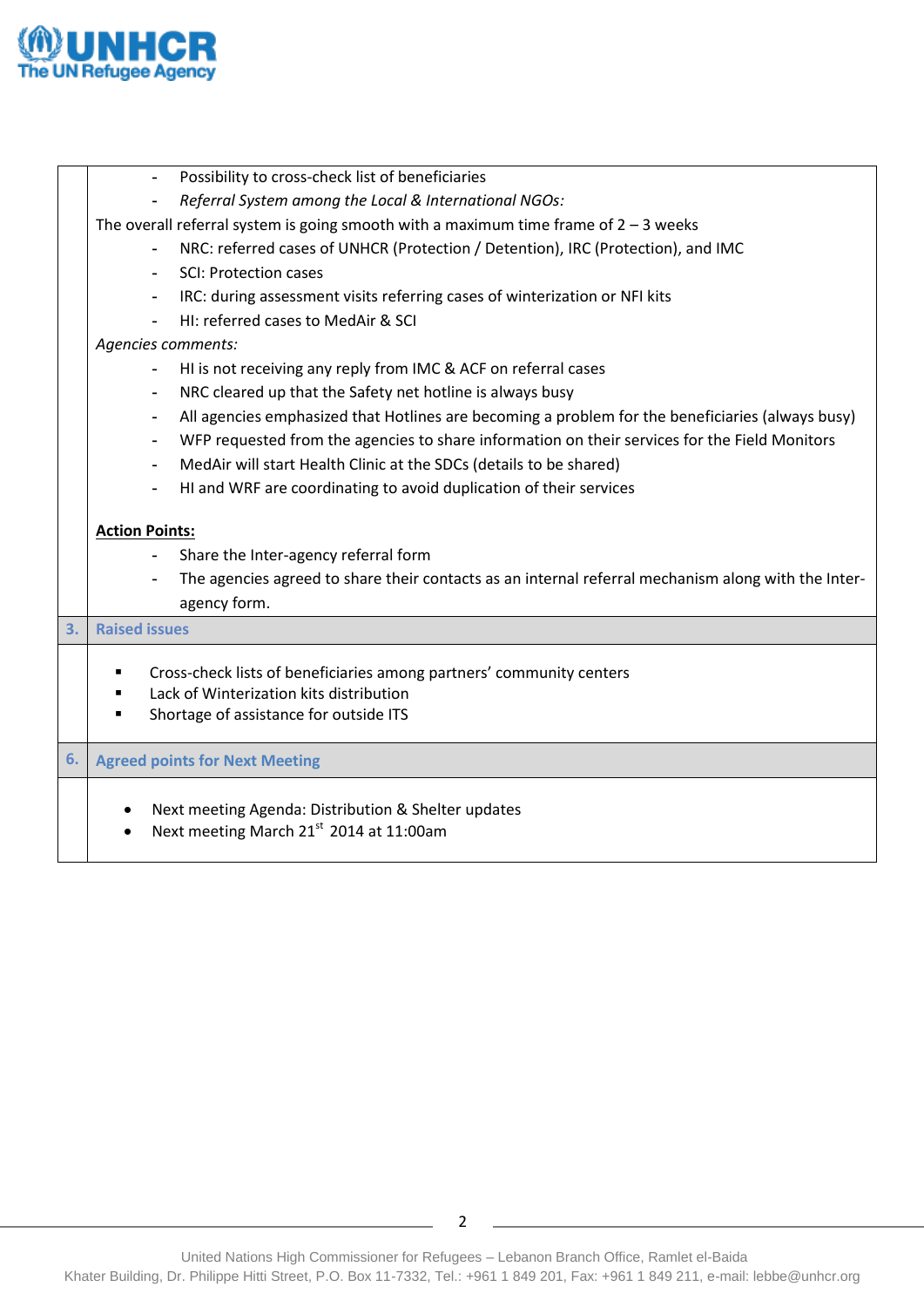

**3. Raised issues** 

|    | Referral System among the Local & International NGOs:                                                              |  |  |  |  |
|----|--------------------------------------------------------------------------------------------------------------------|--|--|--|--|
|    | The overall referral system is going smooth with a maximum time frame of $2 - 3$ weeks                             |  |  |  |  |
|    | NRC: referred cases of UNHCR (Protection / Detention), IRC (Protection), and IMC                                   |  |  |  |  |
|    | <b>SCI: Protection cases</b>                                                                                       |  |  |  |  |
|    | IRC: during assessment visits referring cases of winterization or NFI kits                                         |  |  |  |  |
|    | HI: referred cases to MedAir & SCI                                                                                 |  |  |  |  |
|    | Agencies comments:                                                                                                 |  |  |  |  |
|    | HI is not receiving any reply from IMC & ACF on referral cases                                                     |  |  |  |  |
|    | NRC cleared up that the Safety net hotline is always busy                                                          |  |  |  |  |
|    | All agencies emphasized that Hotlines are becoming a problem for the beneficiaries (always busy)<br>$\blacksquare$ |  |  |  |  |
|    | WFP requested from the agencies to share information on their services for the Field Monitors<br>٠                 |  |  |  |  |
|    | MedAir will start Health Clinic at the SDCs (details to be shared)                                                 |  |  |  |  |
|    | HI and WRF are coordinating to avoid duplication of their services                                                 |  |  |  |  |
|    |                                                                                                                    |  |  |  |  |
|    | <b>Action Points:</b>                                                                                              |  |  |  |  |
|    | Share the Inter-agency referral form<br>$\blacksquare$                                                             |  |  |  |  |
|    | The agencies agreed to share their contacts as an internal referral mechanism along with the Inter-                |  |  |  |  |
|    | agency form.                                                                                                       |  |  |  |  |
| 3. | <b>Raised issues</b>                                                                                               |  |  |  |  |
|    | Cross-check lists of beneficiaries among partners' community centers                                               |  |  |  |  |
|    | Lack of Winterization kits distribution                                                                            |  |  |  |  |
|    | Shortage of assistance for outside ITS                                                                             |  |  |  |  |
|    |                                                                                                                    |  |  |  |  |
| 6. | <b>Agreed points for Next Meeting</b>                                                                              |  |  |  |  |
|    |                                                                                                                    |  |  |  |  |
|    | Next meeting Agenda: Distribution & Shelter updates                                                                |  |  |  |  |
|    | Next meeting March 21st 2014 at 11:00am<br>$\bullet$                                                               |  |  |  |  |
|    |                                                                                                                    |  |  |  |  |
|    |                                                                                                                    |  |  |  |  |
|    |                                                                                                                    |  |  |  |  |
|    |                                                                                                                    |  |  |  |  |
|    |                                                                                                                    |  |  |  |  |

**-** Possibility to cross-check list of beneficiaries